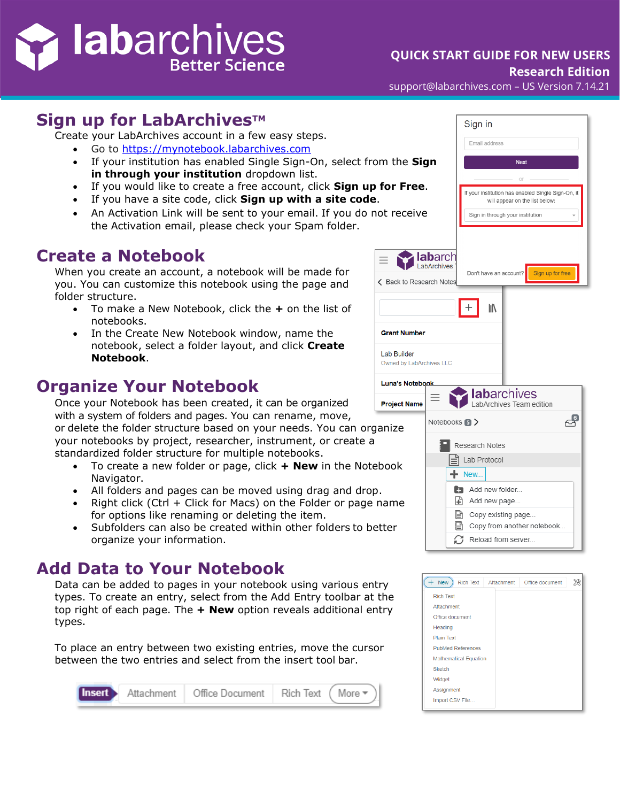## i labarchives Better Science

## **QUICK START GUIDE FOR NEW USERS**

**Research Edition**

support@labarchives.com – US Version 7.14.21

## **Sign up for LabArchives™**

Create your LabArchives account in a few easy steps.

- Go to [https://mynotebook.labarchives.com](https://mynotebook.labarchives.com/)
- If your institution has enabled Single Sign-On, select from **in through your institution** dropdown list.
- If you would like to create a free account, click **Sign up formation**
- If you have a site code, click **Sign up with a site code**.
- An Activation Link will be sent to your email. If you do not the Activation email, please check your Spam folder.

## **Create a Notebook**

When you create an account, a notebook will be made for you. You can customize this notebook using the page and folder structure.

- To make a New Notebook, click the **+** on the list of notebooks.
- In the Create New Notebook window, name the notebook, select a folder layout, and click **Create Notebook**.

## **Organize Your Notebook**

Once your Notebook has been created, it can be organized P with a system of folders and pages. You can rename, move, or delete the folder structure based on your needs. You can organ your notebooks by project, researcher, instrument, or create a standardized folder structure for multiple notebooks.

- To create a new folder or page, click **+ New** in the Notebo Navigator.
- All folders and pages can be moved using drag and drop.
- Right click (Ctrl  $+$  Click for Macs) on the Folder or page name for options like renaming or deleting the item.
- Subfolders can also be created within other folders to bett organize your information.

## **Add Data to Your Notebook**

Data can be added to pages in your notebook using various entry types. To create an entry, select from the Add Entry toolbar at the top right of each page. The **+ New** option reveals additional entry types.

To place an entry between two existing entries, move the cursor between the two entries and select from the insert tool bar.



|                                                | Sign in                                                                              |
|------------------------------------------------|--------------------------------------------------------------------------------------|
|                                                | Email address                                                                        |
| m the <b>Sign</b>                              | <b>Next</b>                                                                          |
| for Free.                                      | $\cap$                                                                               |
|                                                | If your institution has enabled Single Sign-On, it<br>will appear on the list below: |
| ot receive                                     | Sign in through your institution                                                     |
|                                                |                                                                                      |
|                                                | <b>Iabarch</b>                                                                       |
| ← Back to Research Notes                       | Sign up for free<br>Don't have an account?                                           |
|                                                |                                                                                      |
|                                                | ll                                                                                   |
| <b>Grant Number</b>                            |                                                                                      |
| <b>Lab Builder</b><br>Owned by LabArchives LLC |                                                                                      |
| <b>Luna's Notebook</b>                         |                                                                                      |
| <b>Project Name</b>                            | <b>abarchives</b><br>LabArchives Team edition                                        |
| anize                                          | ਵਿ<br>Notebooks <b>5</b> >                                                           |
|                                                | Research Notes                                                                       |
| book                                           | Lab Protocol                                                                         |
|                                                | New                                                                                  |
| name                                           | $\mathbb{E}$ Add new folder<br>GĐ.<br>Add new page                                   |
|                                                | $\left  \equiv \right $ Copy existing page                                           |
| tter:                                          | Copy from another notebook<br>Ø<br>Reload from server                                |
|                                                |                                                                                      |

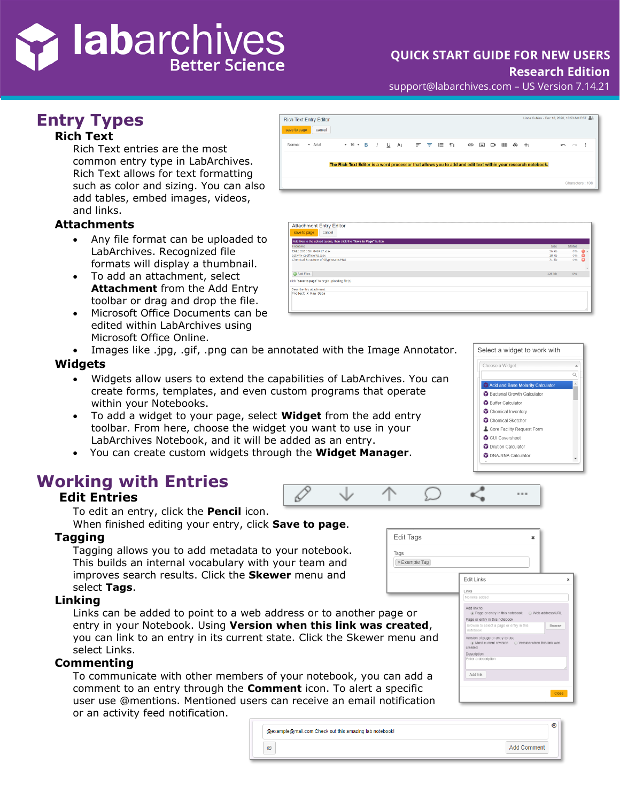# **i lab**archives

## **QUICK START GUIDE FOR NEW USERS**

#### **Research Edition**

support@labarchives.com – US Version 7.14.21

## **Entry Types**

#### **Rich Text**

Rich Text entries are the most common entry type in LabArchives. Rich Text allows for text formatting such as color and sizing. You can also add tables, embed images, videos, and links.

#### **Attachments**

- Any file format can be uploaded to LabArchives. Recognized file formats will display a thumbnail.
- To add an attachment, select **Attachment** from the Add Entry toolbar or drag and drop the file.
- Microsoft Office Documents can be edited within LabArchives using Microsoft Office Online.
- Images like .jpg, .gif, .png can be annotated with the Image Annotator.

#### **Widgets**

- Widgets allow users to extend the capabilities of LabArchives. You can create forms, templates, and even custom programs that operate within your Notebooks.
- To add a widget to your page, select **Widget** from the add entry toolbar. From here, choose the widget you want to use in your LabArchives Notebook, and it will be added as an entry.
- You can create custom widgets through the **Widget Manager**.

## **Working with Entries**

#### **Edit Entries**

To edit an entry, click the **Pencil** icon.

When finished editing your entry, click **Save to page**.

#### **Tagging**

Tagging allows you to add metadata to your notebook. This builds an internal vocabulary with your team and improves search results. Click the **Skewer** menu and select **Tags**.

#### **Linking**

Links can be added to point to a web address or to another page or entry in your Notebook. Using **Version when this link was created**, you can link to an entry in its current state. Click the Skewer menu and select Links.

#### **Commenting**

To communicate with other members of your notebook, you can add a comment to an entry through the **Comment** icon. To alert a specific user use @mentions. Mentioned users can receive an email notification or an activity feed notification.

| @example@mail.com Check out this amazing lab notebook! | ◉ |
|--------------------------------------------------------|---|
| @<br><b>Add Comment</b>                                |   |

Edit Tags

Tags  $x \in \mathbb{R}$  Example Tag



| <b>Attachment Entry Editor</b>                                       |        |               |   |
|----------------------------------------------------------------------|--------|---------------|---|
| save to page<br>cancel                                               |        |               |   |
| Add files to the upload queue, then click the "Save to Page" button. |        |               |   |
| Filename                                                             | Size   | <b>Status</b> |   |
| CALE 2010 SH 042417.xlsx                                             | 36 kb  | 0%            | o |
| activity-coefficients.xlsx                                           | 18 kb  | 0%            |   |
| Chemical Structure of Glyphosate.PNG                                 | 71 kb  | $0\%$         | c |
| Add Files                                                            | 125 kb | 0%            |   |
| click "save to page" to begin uploading file(s)                      |        |               |   |
| Describe this attachment:                                            |        |               |   |
| Project X Raw Data                                                   |        |               |   |



 $\sim$   $\sim$ 

Edit Links

Add link to: ⊌ lillik to.<br>● Page or entry in this no Page or entry in this notebook ersion of page or entry to use<br>◉ Most current revision

Description<br>Enter a de: Add link ×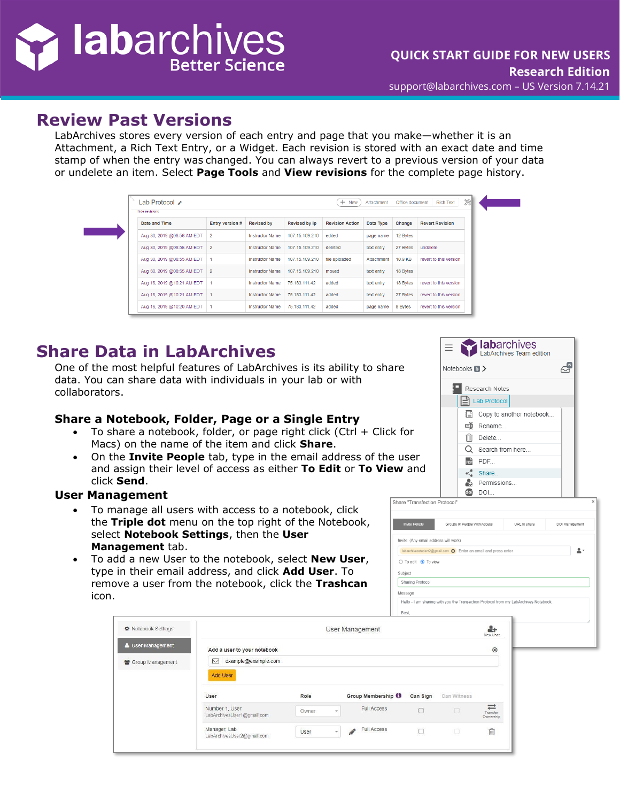# i labarchives **Better Science**

 $\mathcal{L}_{\text{max}}$ 

### **Review Past Versions**

LabArchives stores every version of each entry and page that you make—whether it is an Attachment, a Rich Text Entry, or a Widget. Each revision is stored with an exact date and time stamp of when the entry was changed. You can always revert to a previous version of your data or undelete an item. Select **Page Tools** and **View revisions** for the complete page history.

| hide revisions             |                 |                        |                |                        |            |          |                        |
|----------------------------|-----------------|------------------------|----------------|------------------------|------------|----------|------------------------|
| Date and Time              | Entry version # | <b>Revised by</b>      | Revised by ip  | <b>Revision Action</b> | Data Type  | Change   | <b>Revert Revision</b> |
| Aug 30, 2019 @08:56 AM EDT | $\overline{2}$  | <b>Instructor Name</b> | 107.15.109.210 | edited                 | page name  | 12 Bytes |                        |
| Aug 30, 2019 @08:56 AM EDT | $\overline{2}$  | <b>Instructor Name</b> | 107.15.109.210 | deleted                | text entry | 27 Bytes | undelete               |
| Aug 30, 2019 @08:55 AM EDT |                 | <b>Instructor Name</b> | 107.15.109.210 | file uploaded          | Attachment | 10.9 KB  | revert to this version |
| Aug 30, 2019 @08:55 AM EDT | $\overline{2}$  | <b>Instructor Name</b> | 107.15.109.210 | moved                  | text entry | 18 Bytes |                        |
| Aug 16, 2019 @10:21 AM EDT |                 | <b>Instructor Name</b> | 75.183.111.42  | added                  | text entry | 18 Bytes | revert to this version |
| Aug 16, 2019 @10:21 AM EDT |                 | <b>Instructor Name</b> | 75.183.111.42  | added                  | text entry | 27 Bytes | revert to this version |
| Aug 16, 2019 @10:20 AM EDT |                 | <b>Instructor Name</b> | 75.183.111.42  | added                  | page name  | 8 Bytes  | revert to this version |

## **Share Data in LabArchives**

One of the most helpful features of LabArchives is its ability to share data. You can share data with individuals in your lab or with collaborators.

#### **Share a Notebook, Folder, Page or a Single Entry**

- To share a notebook, folder, or page right click (Ctrl + Click for Macs) on the name of the item and click **Share**.
- On the **Invite People** tab, type in the email address of the user and assign their level of access as either **To Edit** or **To View** and click **Send**.

#### **User Management**

- To manage all users with access to a notebook, click the **Triple dot** menu on the top right of the Notebook, select **Notebook Settings**, then the **User Management** tab.
- To add a new User to the notebook, select **New User**, type in their email address, and click **Add User**. To remove a user from the notebook, click the **Trashcan** icon.

| <b>Labarchives</b><br>LabArchives Team edition |  |  |
|------------------------------------------------|--|--|
| Notebooks <b>B</b> >                           |  |  |
| Research Notes                                 |  |  |
| <b>Lab Protocol</b>                            |  |  |
| Copy to another notebook                       |  |  |
| 画 Rename                                       |  |  |
| Delete                                         |  |  |
| $Q$ Search from here                           |  |  |
| PDF                                            |  |  |
| ← Share                                        |  |  |
| Permissions                                    |  |  |
| DOI                                            |  |  |

| <b>Invite People</b>                  | Groups or People With Access                                   | URL to share | DOI Management |
|---------------------------------------|----------------------------------------------------------------|--------------|----------------|
| Invite: (Any email address will work) |                                                                |              |                |
|                                       | labarchivesstudent2@gmail.com © Enter an email and press enter |              |                |
| $\bigcirc$ To edit $\bigcirc$ To view |                                                                |              |                |
| Subject                               |                                                                |              |                |
|                                       |                                                                |              |                |

| ♦ Notebook Settings                   | User Management                                                            |               |                                                                            |          |                  |                            |
|---------------------------------------|----------------------------------------------------------------------------|---------------|----------------------------------------------------------------------------|----------|------------------|----------------------------|
| User Management<br>皆 Group Management | Add a user to your notebook<br>example@example.com<br>⊠<br><b>Add User</b> |               |                                                                            |          |                  | $\circledast$              |
|                                       | User<br>Number 1, User                                                     | Role          | Group Membership <sup>0</sup><br><b>Full Access</b>                        | Can Sign | Can Witness      | $\equiv$                   |
|                                       | LabArchivesUser1@gmail.com<br>Manager, Lab<br>LabArchivesUser2@gmail.com   | Owner<br>User | $\overline{\phantom{a}}$<br><b>Full Access</b><br>$\overline{\phantom{a}}$ |          | $\Box$<br>$\Box$ | Transfer<br>Ownership<br>血 |